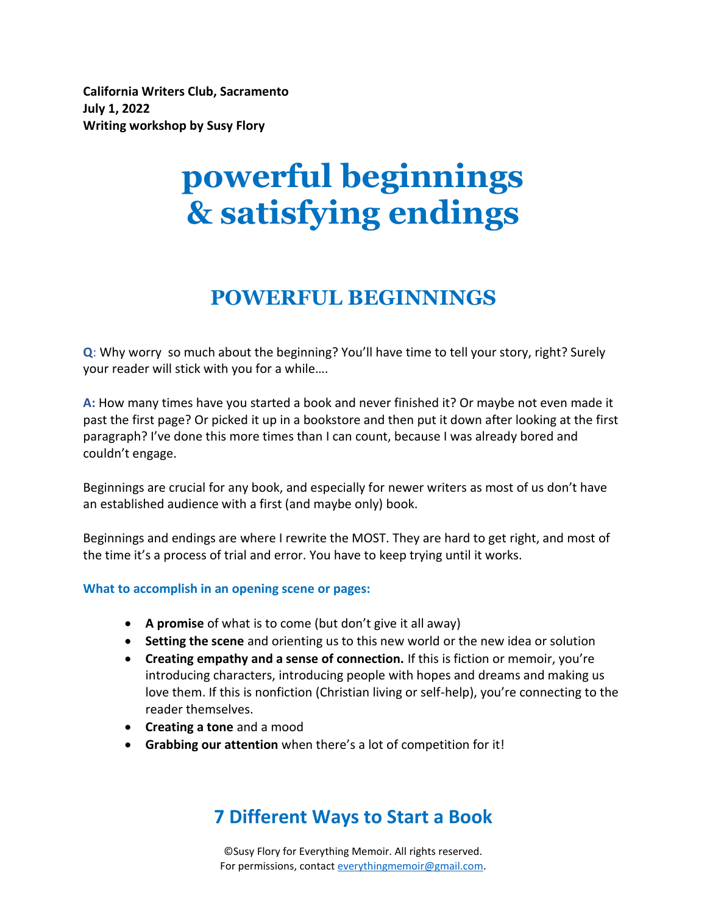**California Writers Club, Sacramento July 1, 2022 Writing workshop by Susy Flory**

# **powerful beginnings & satisfying endings**

# **POWERFUL BEGINNINGS**

**Q**: Why worry so much about the beginning? You'll have time to tell your story, right? Surely your reader will stick with you for a while….

**A:** How many times have you started a book and never finished it? Or maybe not even made it past the first page? Or picked it up in a bookstore and then put it down after looking at the first paragraph? I've done this more times than I can count, because I was already bored and couldn't engage.

Beginnings are crucial for any book, and especially for newer writers as most of us don't have an established audience with a first (and maybe only) book.

Beginnings and endings are where I rewrite the MOST. They are hard to get right, and most of the time it's a process of trial and error. You have to keep trying until it works.

#### **What to accomplish in an opening scene or pages:**

- **A promise** of what is to come (but don't give it all away)
- **Setting the scene** and orienting us to this new world or the new idea or solution
- **Creating empathy and a sense of connection.** If this is fiction or memoir, you're introducing characters, introducing people with hopes and dreams and making us love them. If this is nonfiction (Christian living or self-help), you're connecting to the reader themselves.
- **Creating a tone** and a mood
- **Grabbing our attention** when there's a lot of competition for it!

### **7 Different Ways to Start a Book**

©Susy Flory for Everything Memoir. All rights reserved. For permissions, contac[t everythingmemoir@gmail.com.](mailto:everythingmemoir@gmail.com)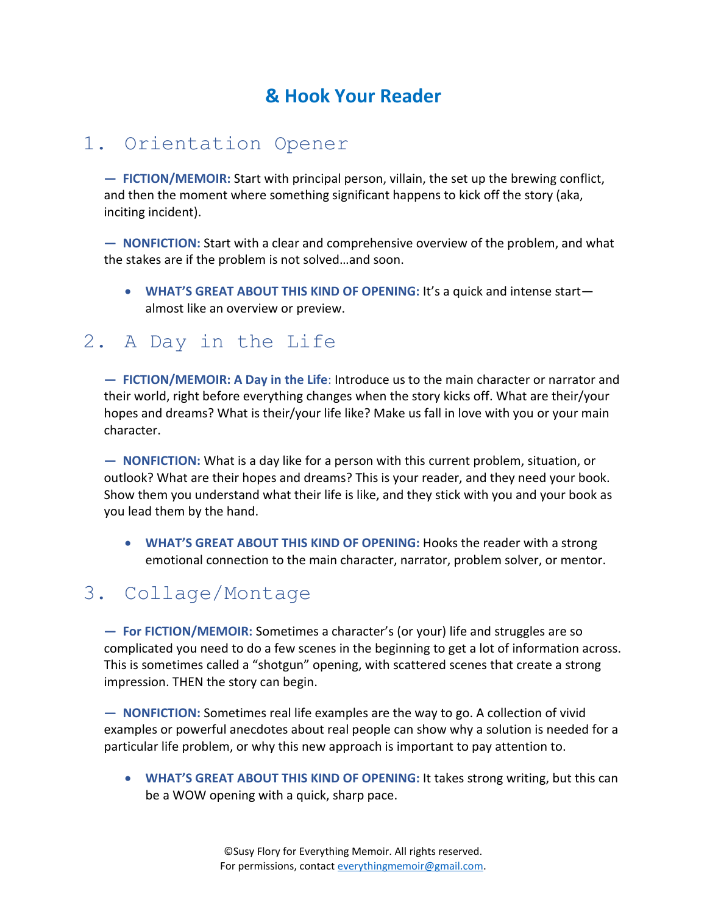# **& Hook Your Reader**

### 1. Orientation Opener

**— FICTION/MEMOIR:** Start with principal person, villain, the set up the brewing conflict, and then the moment where something significant happens to kick off the story (aka, inciting incident).

**— NONFICTION:** Start with a clear and comprehensive overview of the problem, and what the stakes are if the problem is not solved…and soon.

• **WHAT'S GREAT ABOUT THIS KIND OF OPENING:** It's a quick and intense start almost like an overview or preview.

### 2. A Day in the Life

**— FICTION/MEMOIR: A Day in the Life**: Introduce us to the main character or narrator and their world, right before everything changes when the story kicks off. What are their/your hopes and dreams? What is their/your life like? Make us fall in love with you or your main character.

**— NONFICTION:** What is a day like for a person with this current problem, situation, or outlook? What are their hopes and dreams? This is your reader, and they need your book. Show them you understand what their life is like, and they stick with you and your book as you lead them by the hand.

• **WHAT'S GREAT ABOUT THIS KIND OF OPENING:** Hooks the reader with a strong emotional connection to the main character, narrator, problem solver, or mentor.

### 3. Collage/Montage

**— For FICTION/MEMOIR:** Sometimes a character's (or your) life and struggles are so complicated you need to do a few scenes in the beginning to get a lot of information across. This is sometimes called a "shotgun" opening, with scattered scenes that create a strong impression. THEN the story can begin.

**— NONFICTION:** Sometimes real life examples are the way to go. A collection of vivid examples or powerful anecdotes about real people can show why a solution is needed for a particular life problem, or why this new approach is important to pay attention to.

• **WHAT'S GREAT ABOUT THIS KIND OF OPENING:** It takes strong writing, but this can be a WOW opening with a quick, sharp pace.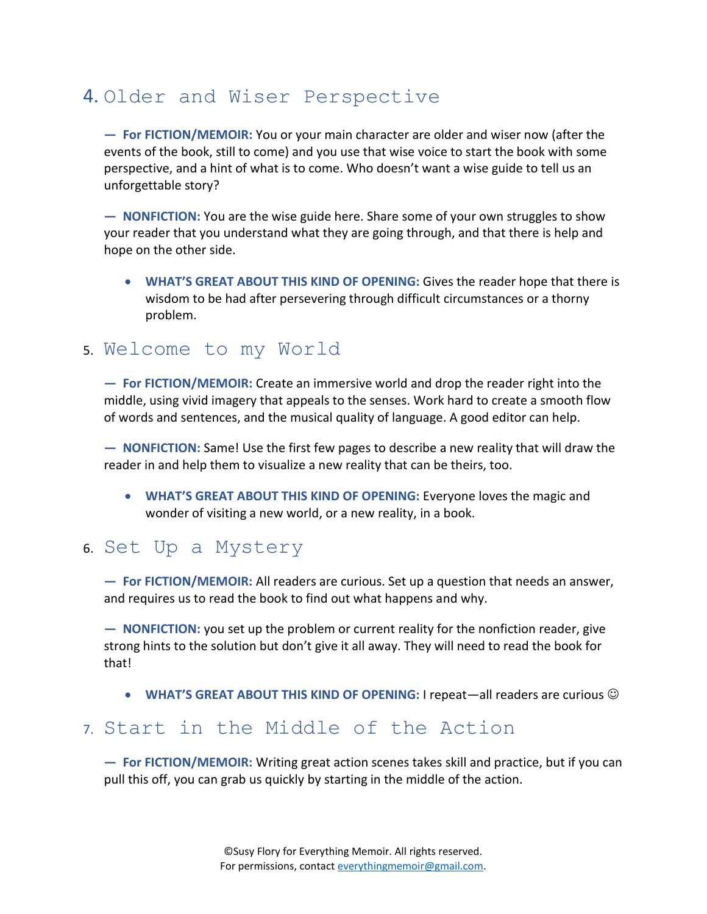# 4. Older and Wiser Perspective

**— For FICTION/MEMOIR:** You or your main character are older and wiser now (after the events of the book, still to come) and you use that wise voice to start the book with some perspective, and a hint of what is to come. Who doesn't want a wise guide to tell us an unforgettable story?

**— NONFICTION:** You are the wise guide here. Share some of your own struggles to show your reader that you understand what they are going through, and that there is help and hope on the other side.

• **WHAT'S GREAT ABOUT THIS KIND OF OPENING:** Gives the reader hope that there is wisdom to be had after persevering through difficult circumstances or a thorny problem.

#### 5. Welcome to my World

**— For FICTION/MEMOIR:** Create an immersive world and drop the reader right into the middle, using vivid imagery that appeals to the senses. Work hard to create a smooth flow of words and sentences, and the musical quality of language. A good editor can help.

**— NONFICTION:** Same! Use the first few pages to describe a new reality that will draw the reader in and help them to visualize a new reality that can be theirs, too.

• **WHAT'S GREAT ABOUT THIS KIND OF OPENING:** Everyone loves the magic and wonder of visiting a new world, or a new reality, in a book.

#### 6. Set Up a Mystery

**— For FICTION/MEMOIR:** All readers are curious. Set up a question that needs an answer, and requires us to read the book to find out what happens and why.

**— NONFICTION:** you set up the problem or current reality for the nonfiction reader, give strong hints to the solution but don't give it all away. They will need to read the book for that!

• **WHAT'S GREAT ABOUT THIS KIND OF OPENING:** I repeat—all readers are curious  $\odot$ 

### 7. Start in the Middle of the Action

**— For FICTION/MEMOIR:** Writing great action scenes takes skill and practice, but if you can pull this off, you can grab us quickly by starting in the middle of the action.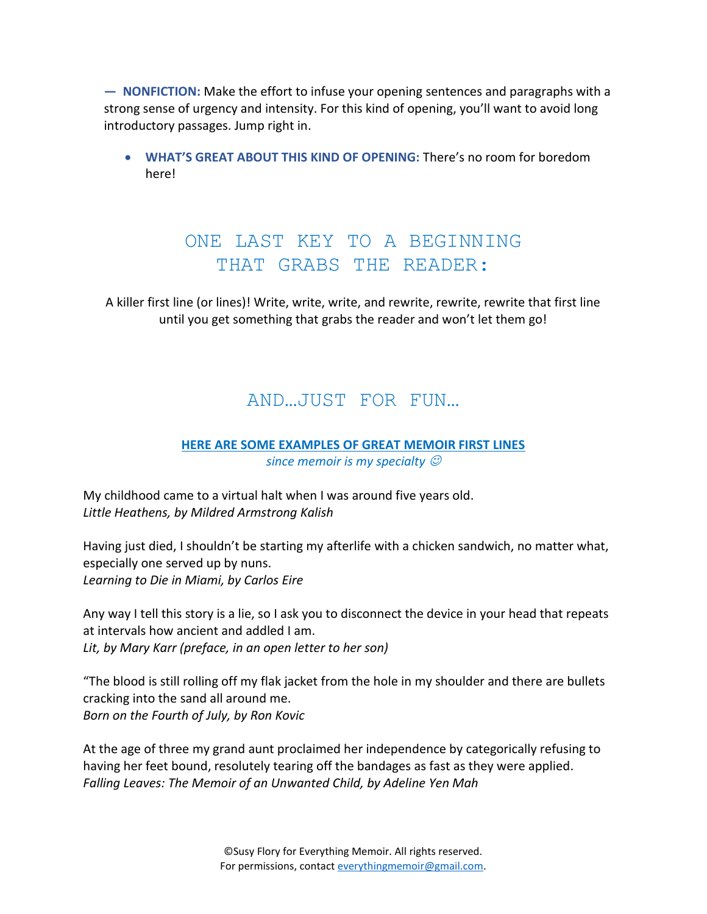**— NONFICTION:** Make the effort to infuse your opening sentences and paragraphs with a strong sense of urgency and intensity. For this kind of opening, you'll want to avoid long introductory passages. Jump right in.

• **WHAT'S GREAT ABOUT THIS KIND OF OPENING:** There's no room for boredom here!

### ONE LAST KEY TO A BEGINNING THAT GRABS THE READER:

A killer first line (or lines)! Write, write, write, and rewrite, rewrite, rewrite that first line until you get something that grabs the reader and won't let them go!

### AND…JUST FOR FUN…

# **HERE ARE SOME EXAMPLES OF GREAT MEMOIR FIRST LINES**

*since memoir is my specialty*  $\mathcal O$ 

My childhood came to a virtual halt when I was around five years old. *Little Heathens, by Mildred Armstrong Kalish*

Having just died, I shouldn't be starting my afterlife with a chicken sandwich, no matter what, especially one served up by nuns. *Learning to Die in Miami, by Carlos Eire*

Any way I tell this story is a lie, so I ask you to disconnect the device in your head that repeats at intervals how ancient and addled I am. *Lit, by Mary Karr (preface, in an open letter to her son)*

"The blood is still rolling off my flak jacket from the hole in my shoulder and there are bullets cracking into the sand all around me. *Born on the Fourth of July, by Ron Kovic*

At the age of three my grand aunt proclaimed her independence by categorically refusing to having her feet bound, resolutely tearing off the bandages as fast as they were applied. *Falling Leaves: The Memoir of an Unwanted Child, by Adeline Yen Mah*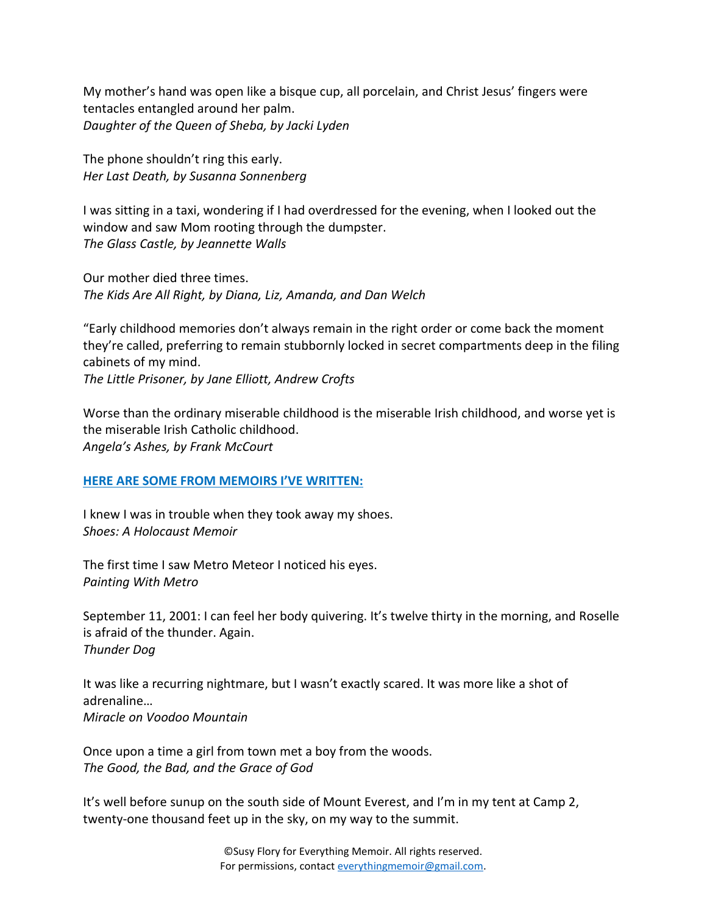My mother's hand was open like a bisque cup, all porcelain, and Christ Jesus' fingers were tentacles entangled around her palm. *Daughter of the Queen of Sheba, by Jacki Lyden*

The phone shouldn't ring this early. *Her Last Death, by Susanna Sonnenberg*

I was sitting in a taxi, wondering if I had overdressed for the evening, when I looked out the window and saw Mom rooting through the dumpster. *The Glass Castle, by Jeannette Walls*

Our mother died three times. *The Kids Are All Right, by Diana, Liz, Amanda, and Dan Welch*

"Early childhood memories don't always remain in the right order or come back the moment they're called, preferring to remain stubbornly locked in secret compartments deep in the filing cabinets of my mind. *The Little Prisoner, by Jane Elliott, Andrew Crofts*

Worse than the ordinary miserable childhood is the miserable Irish childhood, and worse yet is the miserable Irish Catholic childhood. *Angela's Ashes, by Frank McCourt*

#### **HERE ARE SOME FROM MEMOIRS I'VE WRITTEN:**

I knew I was in trouble when they took away my shoes. *Shoes: A Holocaust Memoir*

The first time I saw Metro Meteor I noticed his eyes. *Painting With Metro*

September 11, 2001: I can feel her body quivering. It's twelve thirty in the morning, and Roselle is afraid of the thunder. Again. *Thunder Dog*

It was like a recurring nightmare, but I wasn't exactly scared. It was more like a shot of adrenaline… *Miracle on Voodoo Mountain*

Once upon a time a girl from town met a boy from the woods. *The Good, the Bad, and the Grace of God*

It's well before sunup on the south side of Mount Everest, and I'm in my tent at Camp 2, twenty-one thousand feet up in the sky, on my way to the summit.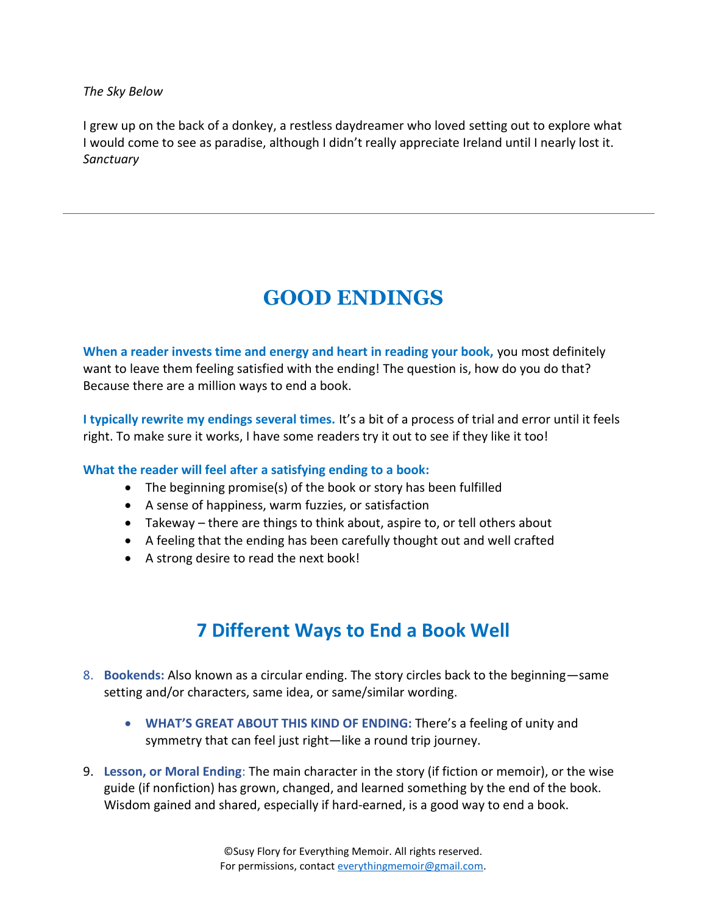*The Sky Below*

I grew up on the back of a donkey, a restless daydreamer who loved setting out to explore what I would come to see as paradise, although I didn't really appreciate Ireland until I nearly lost it. *Sanctuary*

# **GOOD ENDINGS**

**When a reader invests time and energy and heart in reading your book,** you most definitely want to leave them feeling satisfied with the ending! The question is, how do you do that? Because there are a million ways to end a book.

**I typically rewrite my endings several times.** It's a bit of a process of trial and error until it feels right. To make sure it works, I have some readers try it out to see if they like it too!

#### **What the reader will feel after a satisfying ending to a book:**

- The beginning promise(s) of the book or story has been fulfilled
- A sense of happiness, warm fuzzies, or satisfaction
- Takeway there are things to think about, aspire to, or tell others about
- A feeling that the ending has been carefully thought out and well crafted
- A strong desire to read the next book!

### **7 Different Ways to End a Book Well**

- 8. **Bookends:** Also known as a circular ending. The story circles back to the beginning—same setting and/or characters, same idea, or same/similar wording.
	- **WHAT'S GREAT ABOUT THIS KIND OF ENDING:** There's a feeling of unity and symmetry that can feel just right—like a round trip journey.
- 9. **Lesson, or Moral Ending**: The main character in the story (if fiction or memoir), or the wise guide (if nonfiction) has grown, changed, and learned something by the end of the book. Wisdom gained and shared, especially if hard-earned, is a good way to end a book.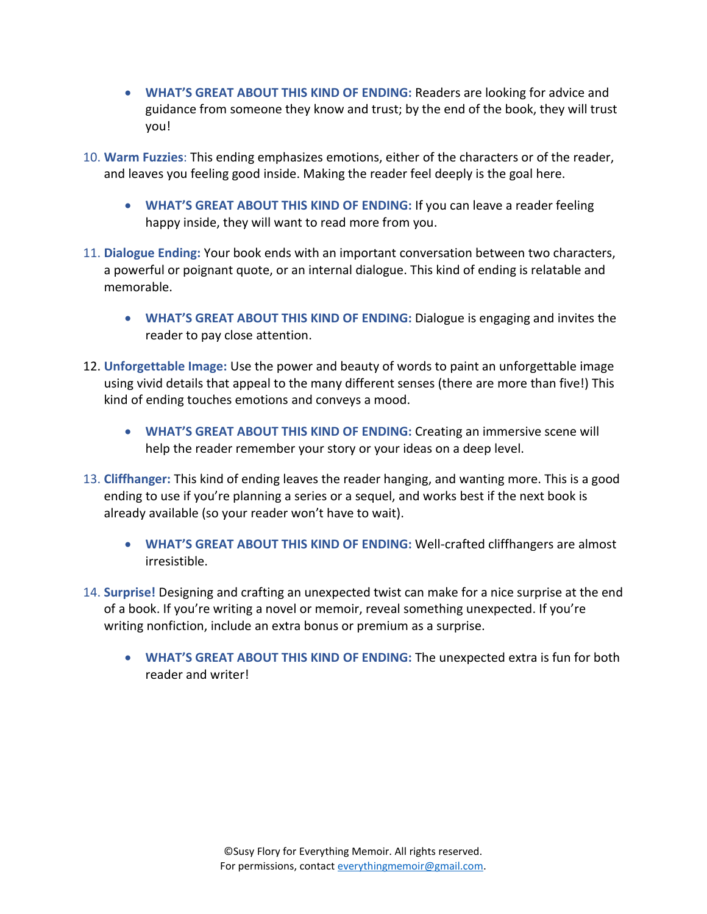- **WHAT'S GREAT ABOUT THIS KIND OF ENDING:** Readers are looking for advice and guidance from someone they know and trust; by the end of the book, they will trust you!
- 10. **Warm Fuzzies**: This ending emphasizes emotions, either of the characters or of the reader, and leaves you feeling good inside. Making the reader feel deeply is the goal here.
	- **WHAT'S GREAT ABOUT THIS KIND OF ENDING:** If you can leave a reader feeling happy inside, they will want to read more from you.
- 11. **Dialogue Ending:** Your book ends with an important conversation between two characters, a powerful or poignant quote, or an internal dialogue. This kind of ending is relatable and memorable.
	- **WHAT'S GREAT ABOUT THIS KIND OF ENDING:** Dialogue is engaging and invites the reader to pay close attention.
- 12. **Unforgettable Image:** Use the power and beauty of words to paint an unforgettable image using vivid details that appeal to the many different senses (there are more than five!) This kind of ending touches emotions and conveys a mood.
	- **WHAT'S GREAT ABOUT THIS KIND OF ENDING:** Creating an immersive scene will help the reader remember your story or your ideas on a deep level.
- 13. **Cliffhanger:** This kind of ending leaves the reader hanging, and wanting more. This is a good ending to use if you're planning a series or a sequel, and works best if the next book is already available (so your reader won't have to wait).
	- **WHAT'S GREAT ABOUT THIS KIND OF ENDING:** Well-crafted cliffhangers are almost irresistible.
- 14. **Surprise!** Designing and crafting an unexpected twist can make for a nice surprise at the end of a book. If you're writing a novel or memoir, reveal something unexpected. If you're writing nonfiction, include an extra bonus or premium as a surprise.
	- **WHAT'S GREAT ABOUT THIS KIND OF ENDING:** The unexpected extra is fun for both reader and writer!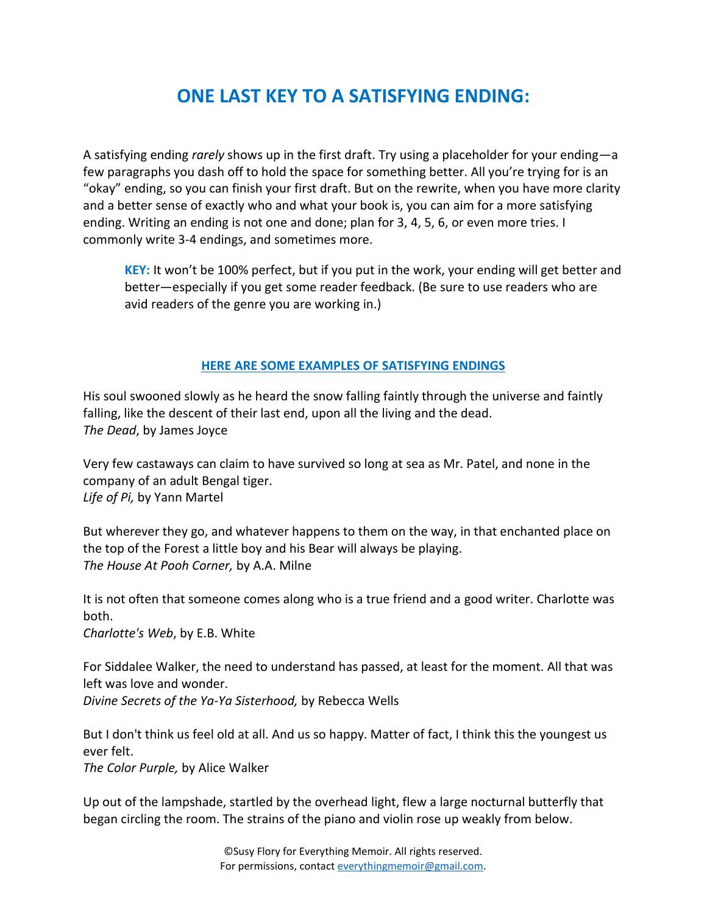# **ONE LAST KEY TO A SATISFYING ENDING:**

A satisfying ending *rarely* shows up in the first draft. Try using a placeholder for your ending—a few paragraphs you dash off to hold the space for something better. All you're trying for is an "okay" ending, so you can finish your first draft. But on the rewrite, when you have more clarity and a better sense of exactly who and what your book is, you can aim for a more satisfying ending. Writing an ending is not one and done; plan for 3, 4, 5, 6, or even more tries. I commonly write 3-4 endings, and sometimes more.

**KEY:** It won't be 100% perfect, but if you put in the work, your ending will get better and better—especially if you get some reader feedback. (Be sure to use readers who are avid readers of the genre you are working in.)

#### **HERE ARE SOME EXAMPLES OF SATISFYING ENDINGS**

His soul swooned slowly as he heard the snow falling faintly through the universe and faintly falling, like the descent of their last end, upon all the living and the dead. *The Dead*, by James Joyce

Very few castaways can claim to have survived so long at sea as Mr. Patel, and none in the company of an adult Bengal tiger. *Life of Pi,* by Yann Martel

But wherever they go, and whatever happens to them on the way, in that enchanted place on the top of the Forest a little boy and his Bear will always be playing. *The House At Pooh Corner,* by A.A. Milne

It is not often that someone comes along who is a true friend and a good writer. Charlotte was both.

*Charlotte's Web*, by E.B. White

For Siddalee Walker, the need to understand has passed, at least for the moment. All that was left was love and wonder. *Divine Secrets of the Ya-Ya Sisterhood,* by Rebecca Wells

But I don't think us feel old at all. And us so happy. Matter of fact, I think this the youngest us ever felt.

*The Color Purple,* by Alice Walker

Up out of the lampshade, startled by the overhead light, flew a large nocturnal butterfly that began circling the room. The strains of the piano and violin rose up weakly from below.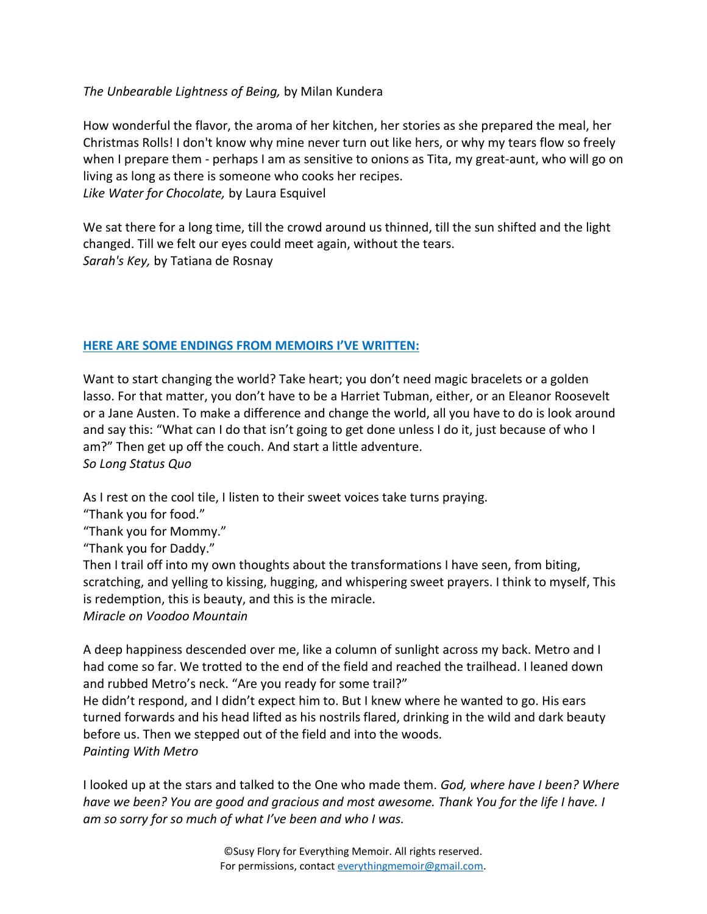#### *The Unbearable Lightness of Being,* by Milan Kundera

How wonderful the flavor, the aroma of her kitchen, her stories as she prepared the meal, her Christmas Rolls! I don't know why mine never turn out like hers, or why my tears flow so freely when I prepare them - perhaps I am as sensitive to onions as Tita, my great-aunt, who will go on living as long as there is someone who cooks her recipes. *Like Water for Chocolate,* by Laura Esquivel

We sat there for a long time, till the crowd around us thinned, till the sun shifted and the light changed. Till we felt our eyes could meet again, without the tears. *Sarah's Key,* by Tatiana de Rosnay

#### **HERE ARE SOME ENDINGS FROM MEMOIRS I'VE WRITTEN:**

Want to start changing the world? Take heart; you don't need magic bracelets or a golden lasso. For that matter, you don't have to be a Harriet Tubman, either, or an Eleanor Roosevelt or a Jane Austen. To make a difference and change the world, all you have to do is look around and say this: "What can I do that isn't going to get done unless I do it, just because of who I am?" Then get up off the couch. And start a little adventure. *So Long Status Quo*

As I rest on the cool tile, I listen to their sweet voices take turns praying.

"Thank you for food."

"Thank you for Mommy."

"Thank you for Daddy."

Then I trail off into my own thoughts about the transformations I have seen, from biting, scratching, and yelling to kissing, hugging, and whispering sweet prayers. I think to myself, This is redemption, this is beauty, and this is the miracle.

*Miracle on Voodoo Mountain*

A deep happiness descended over me, like a column of sunlight across my back. Metro and I had come so far. We trotted to the end of the field and reached the trailhead. I leaned down and rubbed Metro's neck. "Are you ready for some trail?"

He didn't respond, and I didn't expect him to. But I knew where he wanted to go. His ears turned forwards and his head lifted as his nostrils flared, drinking in the wild and dark beauty before us. Then we stepped out of the field and into the woods. *Painting With Metro*

I looked up at the stars and talked to the One who made them. *God, where have I been? Where have we been? You are good and gracious and most awesome. Thank You for the life I have. I am so sorry for so much of what I've been and who I was.*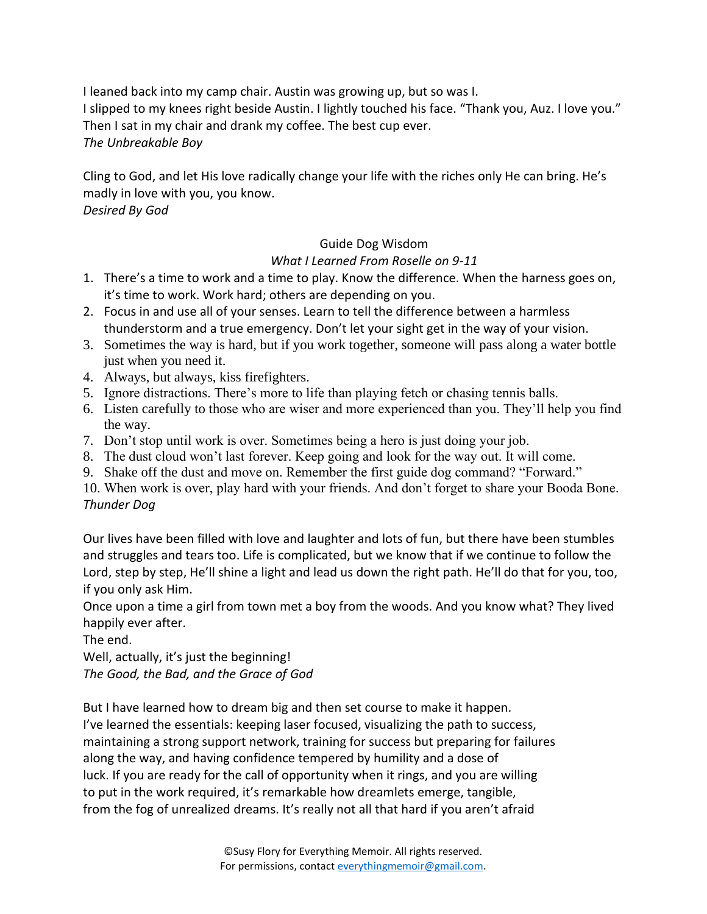I leaned back into my camp chair. Austin was growing up, but so was I. I slipped to my knees right beside Austin. I lightly touched his face. "Thank you, Auz. I love you." Then I sat in my chair and drank my coffee. The best cup ever. *The Unbreakable Boy*

Cling to God, and let His love radically change your life with the riches only He can bring. He's madly in love with you, you know.

*Desired By God*

#### Guide Dog Wisdom

#### *What I Learned From Roselle on 9-11*

- 1. There's a time to work and a time to play. Know the difference. When the harness goes on, it's time to work. Work hard; others are depending on you.
- 2. Focus in and use all of your senses. Learn to tell the difference between a harmless thunderstorm and a true emergency. Don't let your sight get in the way of your vision.
- 3. Sometimes the way is hard, but if you work together, someone will pass along a water bottle just when you need it.
- 4. Always, but always, kiss firefighters.
- 5. Ignore distractions. There's more to life than playing fetch or chasing tennis balls.
- 6. Listen carefully to those who are wiser and more experienced than you. They'll help you find the way.
- 7. Don't stop until work is over. Sometimes being a hero is just doing your job.
- 8. The dust cloud won't last forever. Keep going and look for the way out. It will come.
- 9. Shake off the dust and move on. Remember the first guide dog command? "Forward."

10. When work is over, play hard with your friends. And don't forget to share your Booda Bone. *Thunder Dog*

Our lives have been filled with love and laughter and lots of fun, but there have been stumbles and struggles and tears too. Life is complicated, but we know that if we continue to follow the Lord, step by step, He'll shine a light and lead us down the right path. He'll do that for you, too, if you only ask Him.

Once upon a time a girl from town met a boy from the woods. And you know what? They lived happily ever after.

The end.

Well, actually, it's just the beginning!

*The Good, the Bad, and the Grace of God*

But I have learned how to dream big and then set course to make it happen. I've learned the essentials: keeping laser focused, visualizing the path to success, maintaining a strong support network, training for success but preparing for failures along the way, and having confidence tempered by humility and a dose of luck. If you are ready for the call of opportunity when it rings, and you are willing to put in the work required, it's remarkable how dreamlets emerge, tangible, from the fog of unrealized dreams. It's really not all that hard if you aren't afraid